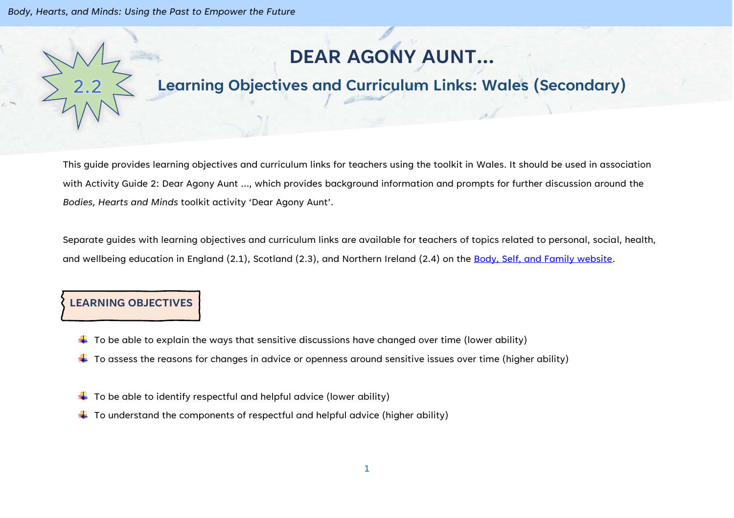# **DEAR AGONY AUNT…**

# **Learning Objectives and Curriculum Links: Wales (Secondary)**

This guide provides learning objectives and curriculum links for teachers using the toolkit in Wales. It should be used in association with Activity Guide 2: Dear Agony Aunt …, which provides background information and prompts for further discussion around the *Bodies, Hearts and Minds* toolkit activity 'Dear Agony Aunt'.

Separate guides with learning objectives and curriculum links are available for teachers of topics related to personal, social, health, and wellbeing education in England (2.1), Scotland (2.3), and Northern Ireland (2.4) on the [Body, Self, and Family website.](https://bodyselffamily.org/)

#### **LEARNING OBJECTIVES**

- $\downarrow$  To be able to explain the ways that sensitive discussions have changed over time (lower ability)
- $\ddotplus$  To assess the reasons for changes in advice or openness around sensitive issues over time (higher ability)
- $\downarrow$  To be able to identify respectful and helpful advice (lower ability)
- $\downarrow$  To understand the components of respectful and helpful advice (higher ability)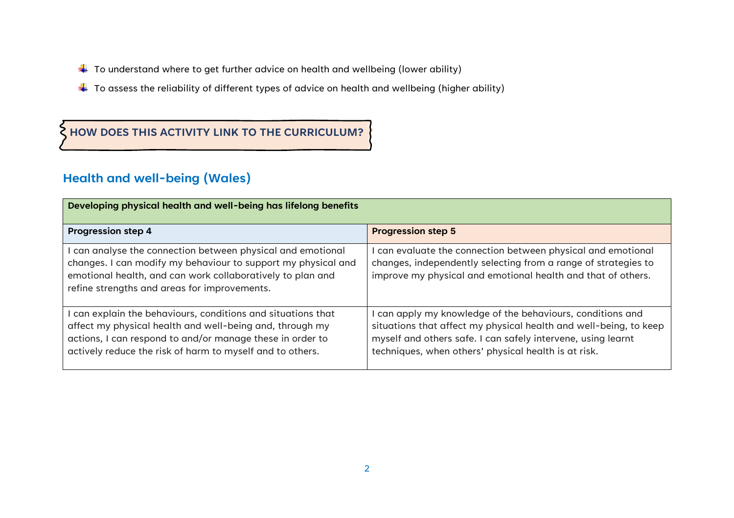- $\ddot{+}$  To understand where to get further advice on health and wellbeing (lower ability)
- $\ddotplus$  To assess the reliability of different types of advice on health and wellbeing (higher ability)

### **HOW DOES THIS ACTIVITY LINK TO THE CURRICULUM?**

## **Health and well-being (Wales)**

| Developing physical health and well-being has lifelong benefits                                                                                                                                                                                  |                                                                                                                                                                                                                                                       |  |
|--------------------------------------------------------------------------------------------------------------------------------------------------------------------------------------------------------------------------------------------------|-------------------------------------------------------------------------------------------------------------------------------------------------------------------------------------------------------------------------------------------------------|--|
| <b>Progression step 4</b>                                                                                                                                                                                                                        | <b>Progression step 5</b>                                                                                                                                                                                                                             |  |
| can analyse the connection between physical and emotional<br>changes. I can modify my behaviour to support my physical and<br>emotional health, and can work collaboratively to plan and<br>refine strengths and areas for improvements.         | can evaluate the connection between physical and emotional<br>changes, independently selecting from a range of strategies to<br>improve my physical and emotional health and that of others.                                                          |  |
| can explain the behaviours, conditions and situations that<br>affect my physical health and well-being and, through my<br>actions, I can respond to and/or manage these in order to<br>actively reduce the risk of harm to myself and to others. | can apply my knowledge of the behaviours, conditions and<br>situations that affect my physical health and well-being, to keep<br>myself and others safe. I can safely intervene, using learnt<br>techniques, when others' physical health is at risk. |  |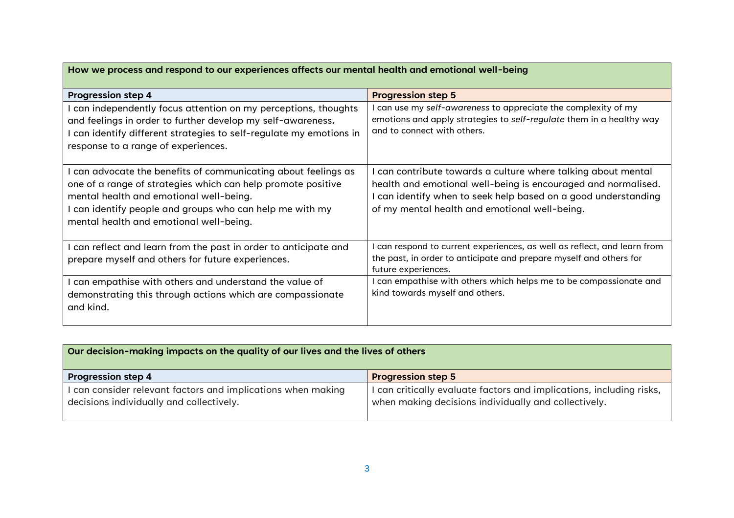| How we process and respond to our experiences affects our mental health and emotional well-being                                                                                                                                                                             |                                                                                                                                                                                                                                                   |  |
|------------------------------------------------------------------------------------------------------------------------------------------------------------------------------------------------------------------------------------------------------------------------------|---------------------------------------------------------------------------------------------------------------------------------------------------------------------------------------------------------------------------------------------------|--|
| <b>Progression step 4</b>                                                                                                                                                                                                                                                    | <b>Progression step 5</b>                                                                                                                                                                                                                         |  |
| can independently focus attention on my perceptions, thoughts<br>and feelings in order to further develop my self-awareness.<br>can identify different strategies to self-regulate my emotions in<br>response to a range of experiences.                                     | can use my self-awareness to appreciate the complexity of my<br>emotions and apply strategies to self-regulate them in a healthy way<br>and to connect with others.                                                                               |  |
| can advocate the benefits of communicating about feelings as<br>one of a range of strategies which can help promote positive<br>mental health and emotional well-being.<br>can identify people and groups who can help me with my<br>mental health and emotional well-being. | I can contribute towards a culture where talking about mental<br>health and emotional well-being is encouraged and normalised.<br>I can identify when to seek help based on a good understanding<br>of my mental health and emotional well-being. |  |
| can reflect and learn from the past in order to anticipate and<br>prepare myself and others for future experiences.                                                                                                                                                          | can respond to current experiences, as well as reflect, and learn from<br>the past, in order to anticipate and prepare myself and others for<br>future experiences.                                                                               |  |
| can empathise with others and understand the value of<br>demonstrating this through actions which are compassionate<br>and kind.                                                                                                                                             | can empathise with others which helps me to be compassionate and<br>kind towards myself and others.                                                                                                                                               |  |

 $\mathcal{L}(\mathcal{A})$ 

| Our decision-making impacts on the quality of our lives and the lives of others                          |                                                                                                                            |  |
|----------------------------------------------------------------------------------------------------------|----------------------------------------------------------------------------------------------------------------------------|--|
| <b>Progression step 4</b>                                                                                | <b>Progression step 5</b>                                                                                                  |  |
| I can consider relevant factors and implications when making<br>decisions individually and collectively. | can critically evaluate factors and implications, including risks,<br>when making decisions individually and collectively. |  |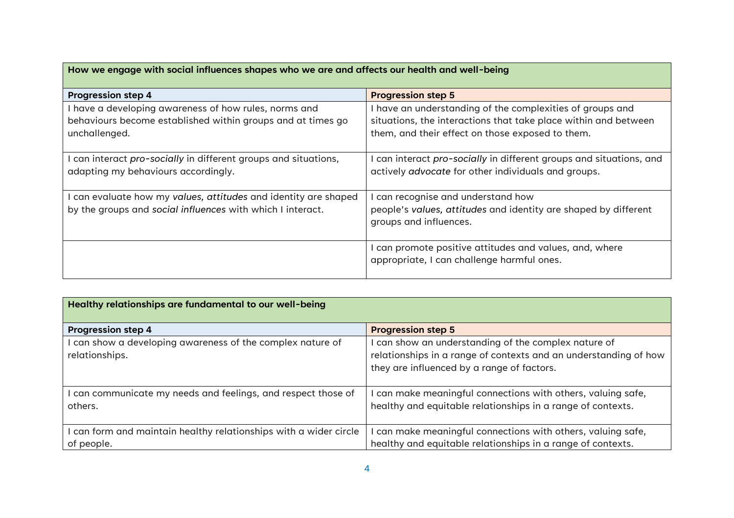| How we engage with social influences shapes who we are and affects our health and well-being           |                                                                                                                          |  |
|--------------------------------------------------------------------------------------------------------|--------------------------------------------------------------------------------------------------------------------------|--|
| <b>Progression step 4</b>                                                                              | <b>Progression step 5</b>                                                                                                |  |
| have a developing awareness of how rules, norms and                                                    | I have an understanding of the complexities of groups and                                                                |  |
| behaviours become established within groups and at times go                                            | situations, the interactions that take place within and between                                                          |  |
| unchallenged.                                                                                          | them, and their effect on those exposed to them.                                                                         |  |
| I can interact pro-socially in different groups and situations,<br>adapting my behaviours accordingly. | can interact pro-socially in different groups and situations, and<br>actively advocate for other individuals and groups. |  |
| can evaluate how my values, attitudes and identity are shaped                                          | can recognise and understand how                                                                                         |  |
| by the groups and social influences with which I interact.                                             | people's values, attitudes and identity are shaped by different<br>groups and influences.                                |  |
|                                                                                                        | I can promote positive attitudes and values, and, where<br>appropriate, I can challenge harmful ones.                    |  |

| Healthy relationships are fundamental to our well-being                       |                                                                                                                                                                      |  |
|-------------------------------------------------------------------------------|----------------------------------------------------------------------------------------------------------------------------------------------------------------------|--|
| <b>Progression step 4</b>                                                     | <b>Progression step 5</b>                                                                                                                                            |  |
| can show a developing awareness of the complex nature of<br>relationships.    | can show an understanding of the complex nature of<br>relationships in a range of contexts and an understanding of how<br>they are influenced by a range of factors. |  |
| can communicate my needs and feelings, and respect those of<br>others.        | can make meaningful connections with others, valuing safe,<br>healthy and equitable relationships in a range of contexts.                                            |  |
| can form and maintain healthy relationships with a wider circle<br>of people. | can make meaningful connections with others, valuing safe,<br>healthy and equitable relationships in a range of contexts.                                            |  |